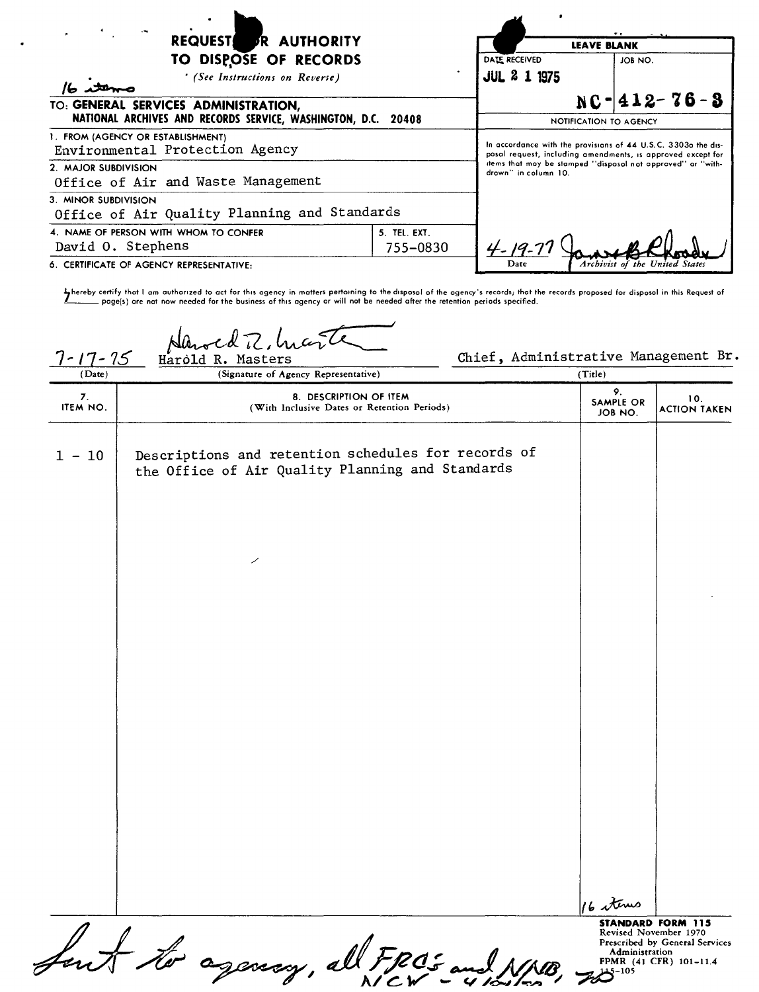| REQUEST FR AUTHORITY<br>TO DISPOSE OF RECORDS<br>' (See Instructions on Reverse)<br>TO: GENERAL SERVICES ADMINISTRATION,<br>NATIONAL ARCHIVES AND RECORDS SERVICE, WASHINGTON, D.C. 20408 |  | DATE RECEIVED<br><b>JUL 2 1 1975</b>                                                                                                                                                                                | <b>LEAVE BLANK</b> | JOB NO.                        |
|-------------------------------------------------------------------------------------------------------------------------------------------------------------------------------------------|--|---------------------------------------------------------------------------------------------------------------------------------------------------------------------------------------------------------------------|--------------------|--------------------------------|
|                                                                                                                                                                                           |  | $NC-412-76-3$<br>NOTIFICATION TO AGENCY                                                                                                                                                                             |                    |                                |
| 1. FROM (AGENCY OR ESTABLISHMENT)<br>Environmental Protection Agency<br>2. MAJOR SUBDIVISION                                                                                              |  | In accordance with the provisions of 44 U.S.C. 3303o the dis-<br>posal request, including amendments, is approved except for<br>items that may be stamped "disposal not approved" or "with-<br>drown" in column 10. |                    |                                |
| Office of Air and Waste Management<br>3. MINOR SUBDIVISION<br>Office of Air Quality Planning and Standards                                                                                |  |                                                                                                                                                                                                                     |                    |                                |
| 5. TEL. EXT.<br>4. NAME OF PERSON WITH WHOM TO CONFER<br>David O. Stephens<br>755-0830                                                                                                    |  |                                                                                                                                                                                                                     |                    |                                |
| 6. CERTIFICATE OF AGENCY REPRESENTATIVE:                                                                                                                                                  |  | Date                                                                                                                                                                                                                |                    | Archivist of the United States |

hereby certify that I am authorized to act for this ogency in matters pertoining to the disposol of the ogency's records; thot the records proposed for disposol in this Request of والمستعيد poge(s) are not now needed for

Harold R, Marten Chief, Administrative Management Br.

| (Date)         | (Signature of Agency Representative)                                                                    | (Title)                             |                                                                                                               |
|----------------|---------------------------------------------------------------------------------------------------------|-------------------------------------|---------------------------------------------------------------------------------------------------------------|
| 7.<br>ITEM NO. | 8. DESCRIPTION OF ITEM<br>(With Inclusive Dates or Retention Periods)                                   | 9.<br><b>SAMPLE OR</b><br>JOB NO.   | 10.<br><b>ACTION TAKEN</b>                                                                                    |
| $1 - 10$       | Descriptions and retention schedules for records of<br>the Office of Air Quality Planning and Standards |                                     |                                                                                                               |
|                |                                                                                                         |                                     |                                                                                                               |
|                |                                                                                                         |                                     |                                                                                                               |
|                |                                                                                                         |                                     |                                                                                                               |
|                |                                                                                                         |                                     |                                                                                                               |
|                |                                                                                                         |                                     |                                                                                                               |
|                |                                                                                                         | 16 stems                            |                                                                                                               |
|                | but to agency, all FROS and NNB,                                                                        | <b>Administration</b><br>$75 - 105$ | <b>STANDARD FORM 115</b><br>Revised November 1970<br>Prescribed by General Services<br>FPMR (41 CFR) 101-11.4 |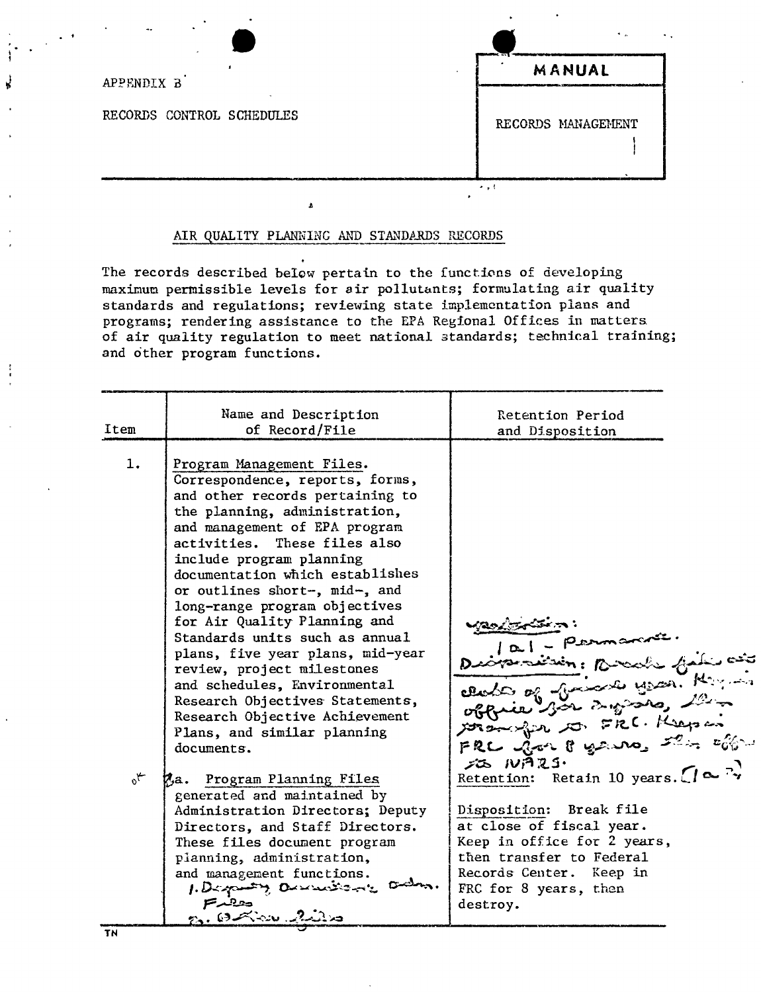| --                        | $\mathbf{A}$       |
|---------------------------|--------------------|
| APPENDIX B                | MANUAL             |
| RECORDS CONTROL SCHEDULES | RECORDS MANAGEMENT |
|                           | ۰.                 |

## AIR QUALITY PLANNING AND STANDARDS RECORDS

The records described below pertain to the functions of developing maximum permissible levels for air pollutants; formulating air quality standards and regulations; reviewing state implementation plans and programs; rendering assistance to the EPA Regional Offices in matters of air quality regulation to meet national standards; technical training; and other program functions.

| 1.<br>Program Management Files.<br>Correspondence, reports, forms,<br>and other records pertaining to<br>the planning, administration,<br>and management of EPA program<br>activities. These files also<br>include program planning<br>documentation which establishes<br>or outlines short-, mid-, and<br>long-range program objectives<br>for Air Quality Planning and<br>Standards units such as annual<br>perman<br>plans, five year plans, mid-year<br>review, project milestones<br>and schedules, Environmental<br>Research Objectives Statements,<br>Research Objective Achievement<br>Plans, and similar planning<br>documents.<br>SO NAZS.<br>Retention: Retain 10 years. $\left( \right)$ $\sim$ $\frac{1}{\gamma}$<br>$\mathcal{A}_{\mathcal{O}}$<br>Ma. Program Planning Files<br>generated and maintained by<br>Disposition: Break file<br>Administration Directors; Deputy<br>at close of fiscal year.<br>Directors, and Staff Directors.<br>Keep in office for 2 years,<br>These files document program<br>then transfer to Federal<br>planning, administration,<br>Records Center. Keep in<br>and management functions.<br>1. Desputy Overwitche<br>FRC for 8 years, then<br>حفيقتهم<br>destroy. | Item | Name and Description<br>of Record/File | Retention Period<br>and Disposition                    |
|-------------------------------------------------------------------------------------------------------------------------------------------------------------------------------------------------------------------------------------------------------------------------------------------------------------------------------------------------------------------------------------------------------------------------------------------------------------------------------------------------------------------------------------------------------------------------------------------------------------------------------------------------------------------------------------------------------------------------------------------------------------------------------------------------------------------------------------------------------------------------------------------------------------------------------------------------------------------------------------------------------------------------------------------------------------------------------------------------------------------------------------------------------------------------------------------------------------------|------|----------------------------------------|--------------------------------------------------------|
|                                                                                                                                                                                                                                                                                                                                                                                                                                                                                                                                                                                                                                                                                                                                                                                                                                                                                                                                                                                                                                                                                                                                                                                                                   |      | n. Oxico 2ira                          | Distribution: Board file of<br>FRC got 8 years the com |

 $\mathcal{L}(\mathcal{A})$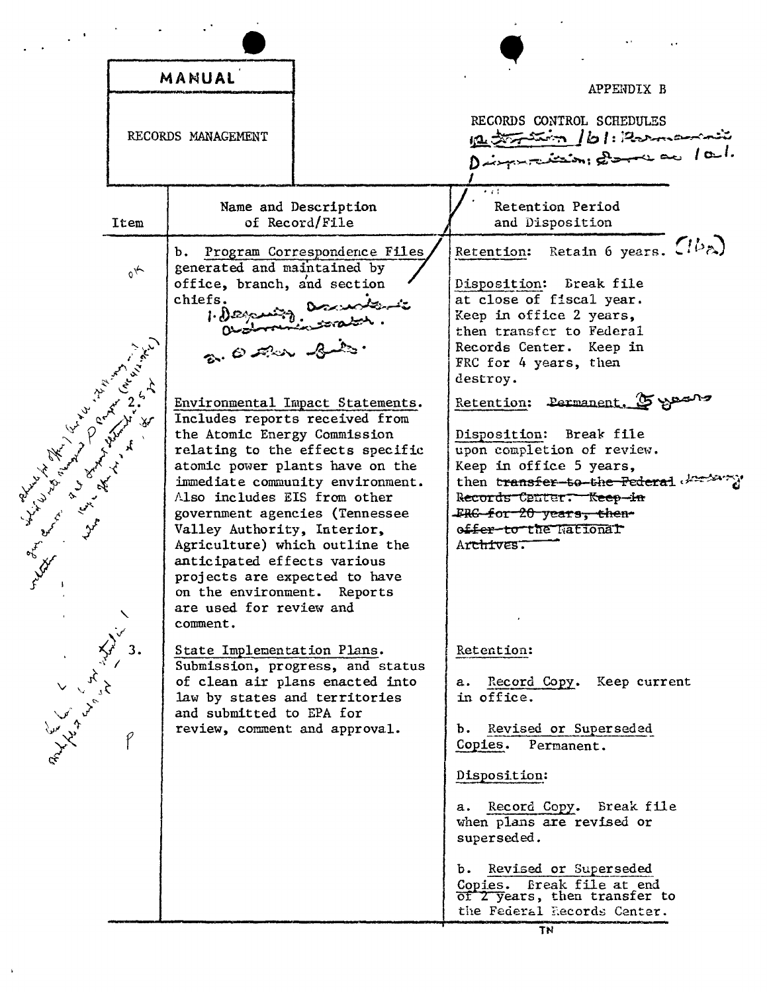| MANUAL                                                                                                                                                                                                                        |            |                                                                                                                                                                                                                                                                                                      | APPENDIX B                                                                                                                                                                                                                                                                                           |                                                                                                                                                                                                                                                                                                                                                                                                                                                                                    |
|-------------------------------------------------------------------------------------------------------------------------------------------------------------------------------------------------------------------------------|------------|------------------------------------------------------------------------------------------------------------------------------------------------------------------------------------------------------------------------------------------------------------------------------------------------------|------------------------------------------------------------------------------------------------------------------------------------------------------------------------------------------------------------------------------------------------------------------------------------------------------|------------------------------------------------------------------------------------------------------------------------------------------------------------------------------------------------------------------------------------------------------------------------------------------------------------------------------------------------------------------------------------------------------------------------------------------------------------------------------------|
|                                                                                                                                                                                                                               |            | RECORDS MANAGEMENT                                                                                                                                                                                                                                                                                   |                                                                                                                                                                                                                                                                                                      | RECORDS CONTROL SCHEDULES<br>12 transmit 161: Roomannie                                                                                                                                                                                                                                                                                                                                                                                                                            |
|                                                                                                                                                                                                                               | Item       |                                                                                                                                                                                                                                                                                                      | Name and Description<br>of Record/File                                                                                                                                                                                                                                                               | $\bullet$ and<br>Retention Period<br>and Disposition                                                                                                                                                                                                                                                                                                                                                                                                                               |
| Level and the state of the state of the state of the state of the state of the state of the state of the state of the state of the state of the state of the state of the state of the state of the state of the state of the | $\gamma_0$ | b.<br>generated and maintained by<br>office, branch, and section<br>chiefs.<br>the Atomic Energy Commission<br>Also includes EIS from other<br>Valley Authority, Interior,<br>anticipated effects various<br>projects are expected to have<br>on the environment. Reports<br>are used for review and | Program Correspondence Files<br>Tileman anniste<br>Environmental Impact Statements.<br>Includes reports received from<br>relating to the effects specific<br>atomic power plants have on the<br>immediate community environment.<br>government agencies (Tennessee<br>Agriculture) which outline the | Retention: Retain 6 years. $(1b_{\lambda})$<br>Disposition: Break file<br>at close of fiscal year.<br>Keep in office 2 years,<br>then transfer to Federal<br>Records Center. Keep in<br>FRC for 4 years, then<br>destroy.<br>Retention: Permanent. 5 years<br>Disposition: Break file<br>upon completion of review.<br>Keep in office 5 years,<br>then transfer-to-the-Federal deriver<br>Records Center. Keep-in<br>FRG for 20 years, then-<br>offer-to-the National<br>Archives. |
| Alexandre Le                                                                                                                                                                                                                  | 3.         | comment.<br>State Implementation Plans.<br>law by states and territories<br>and submitted to EPA for<br>review, comment and approval.                                                                                                                                                                | Submission, progress, and status<br>of clean air plans enacted into                                                                                                                                                                                                                                  | Retention:<br>a. Record Copy.<br>Keep current<br>in office.<br>Revised or Superseded<br>b.<br>Copies.<br>Permanent.<br>Disposition:<br>a. Record Copy. Break file<br>when plans are revised or<br>superseded.<br>Revised or Superseded<br>b.<br>Break file at end<br>Copies.<br>of 2 years, then transfer to<br>the Federal Records Center.                                                                                                                                        |
|                                                                                                                                                                                                                               |            |                                                                                                                                                                                                                                                                                                      |                                                                                                                                                                                                                                                                                                      | TN                                                                                                                                                                                                                                                                                                                                                                                                                                                                                 |

 $\bar{\phantom{a}}$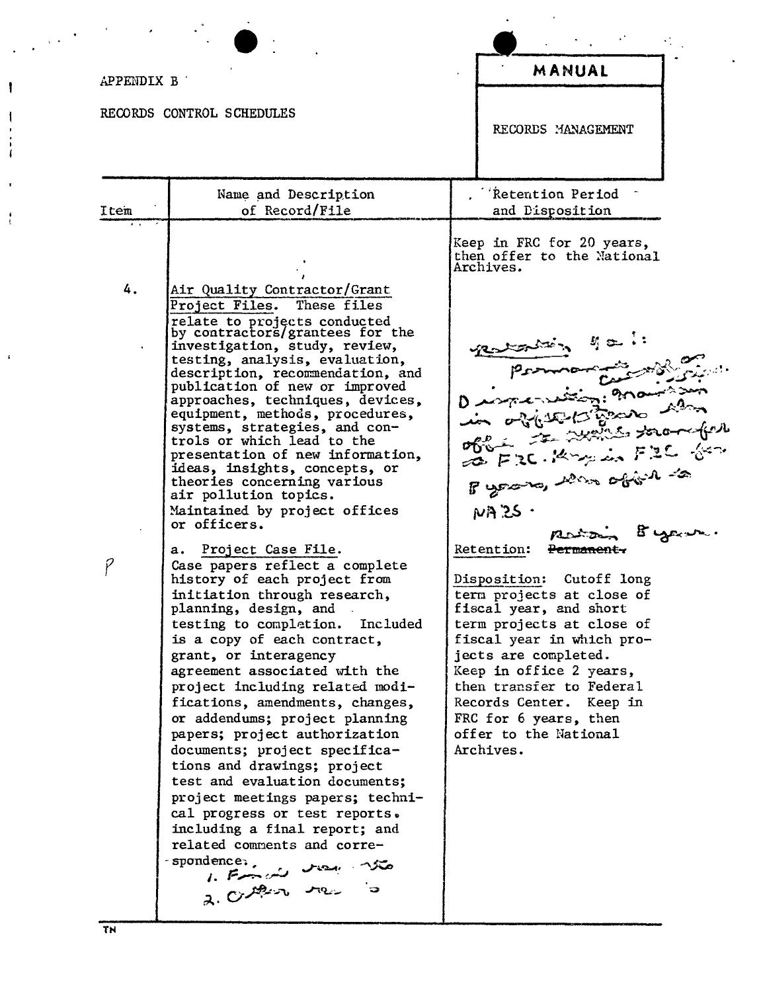| MANUAL                                                                                                                                                                                                                                                                                                                                                                                                                                                                                       |
|----------------------------------------------------------------------------------------------------------------------------------------------------------------------------------------------------------------------------------------------------------------------------------------------------------------------------------------------------------------------------------------------------------------------------------------------------------------------------------------------|
| RECORDS MANAGEMENT                                                                                                                                                                                                                                                                                                                                                                                                                                                                           |
| <b>Retention Period</b><br>and Disposition                                                                                                                                                                                                                                                                                                                                                                                                                                                   |
| Keep in FRC for 20 years,<br>then offer to the National<br>Archives.<br>Byron, was objein to<br>$N A$ 25 $\cdot$<br>atoin Byper<br>Retention:<br><del>Permanent,</del><br>Disposition: Cutoff long<br>term projects at close of<br>fiscal year, and short<br>term projects at close of<br>fiscal year in which pro-<br>jects are completed.<br>Keep in office 2 years,<br>then transfer to Federal<br>Records Center. Keep in<br>FRC for 6 years, then<br>offer to the National<br>Archives. |
|                                                                                                                                                                                                                                                                                                                                                                                                                                                                                              |

 $\sim$   $\sim$ 

 $\ddot{\phantom{a}}$ 

 $\mathbf{I}$ 

 $\mathfrak{t}$  $\frac{1}{4}$ 

 $\frac{1}{2}$ 

 $\bar{\mathbf{r}}$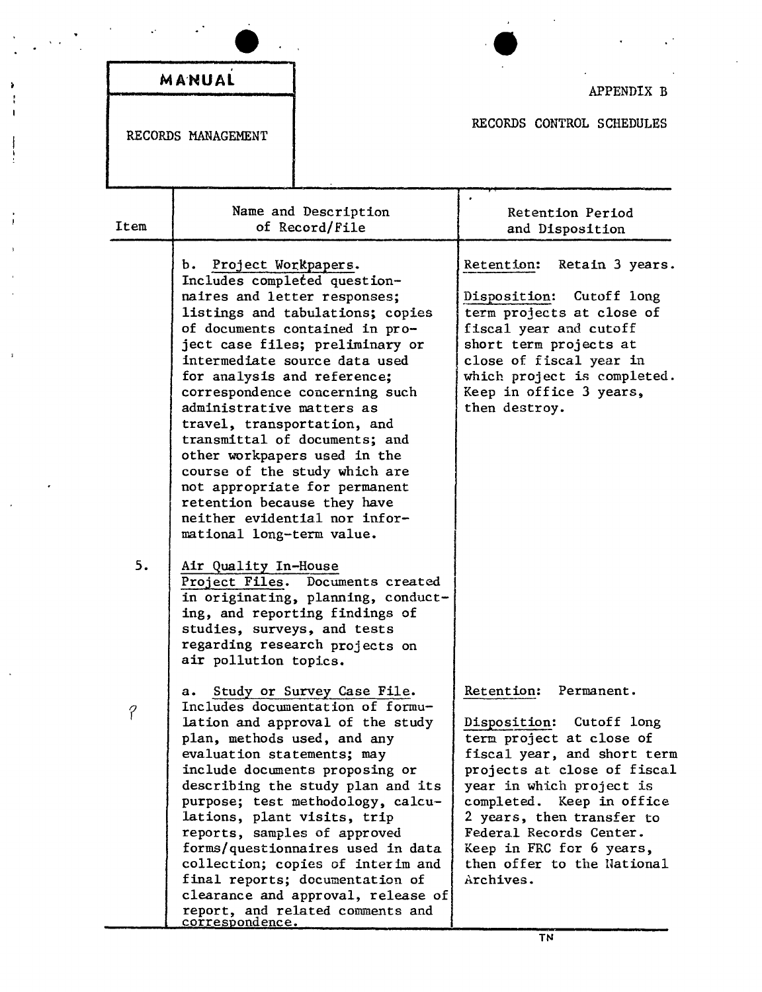|      | MANUAL                                                                                                                                                                                                                                   |                                                                                                                                                                                                                                                                                                                                                                                                                                                                                          | APPENDIX B                                                                                                                                                                                                                                                                                                                             |
|------|------------------------------------------------------------------------------------------------------------------------------------------------------------------------------------------------------------------------------------------|------------------------------------------------------------------------------------------------------------------------------------------------------------------------------------------------------------------------------------------------------------------------------------------------------------------------------------------------------------------------------------------------------------------------------------------------------------------------------------------|----------------------------------------------------------------------------------------------------------------------------------------------------------------------------------------------------------------------------------------------------------------------------------------------------------------------------------------|
|      | RECORDS MANAGEMENT                                                                                                                                                                                                                       |                                                                                                                                                                                                                                                                                                                                                                                                                                                                                          | RECORDS CONTROL SCHEDULES                                                                                                                                                                                                                                                                                                              |
| Item |                                                                                                                                                                                                                                          | Name and Description<br>of Record/File                                                                                                                                                                                                                                                                                                                                                                                                                                                   | Retention Period<br>and Disposition                                                                                                                                                                                                                                                                                                    |
| 5.   | Project Workpapers.<br>ъ.<br>naires and letter responses;<br>for analysis and reference;<br>administrative matters as<br>travel, transportation, and<br>retention because they have<br>mational long-term value.<br>Air Quality In-House | Includes completed question-<br>listings and tabulations; copies<br>of documents contained in pro-<br>ject case files; preliminary or<br>intermediate source data used<br>correspondence concerning such<br>transmittal of documents; and<br>other workpapers used in the<br>course of the study which are<br>not appropriate for permanent<br>neither evidential nor infor-<br>Project Files. Documents created<br>in originating, planning, conduct-<br>ing, and reporting findings of | Retention: Retain 3 years.<br>Disposition: Cutoff long<br>term projects at close of<br>fiscal year and cutoff<br>short term projects at<br>close of fiscal year in<br>which project is completed.<br>Keep in office 3 years,<br>then destroy.                                                                                          |
| P    | studies, surveys, and tests<br>air pollution topics.<br>a.<br>plan, methods used, and any<br>evaluation statements; may<br>lations, plant visits, trip<br><u>correspondence.</u>                                                         | regarding research projects on<br>Study or Survey Case File.<br>Includes documentation of formu-<br>lation and approval of the study<br>include documents proposing or<br>describing the study plan and its<br>purpose; test methodology, calcu-<br>reports, samples of approved<br>forms/questionnaires used in data<br>collection; copies of interim and<br>final reports; documentation of<br>clearance and approval, release of<br>report, and related comments and                  | Retention:<br>Permanent.<br>Disposition: Cutoff long<br>term project at close of<br>fiscal year, and short term<br>projects at close of fiscal<br>year in which project is<br>completed. Keep in office<br>2 years, then transfer to<br>Federal Records Center.<br>Keep in FRC for 6 years,<br>then offer to the National<br>Archives. |

à  $\mathbf{r}$  $\mathbf{r}$ 

ł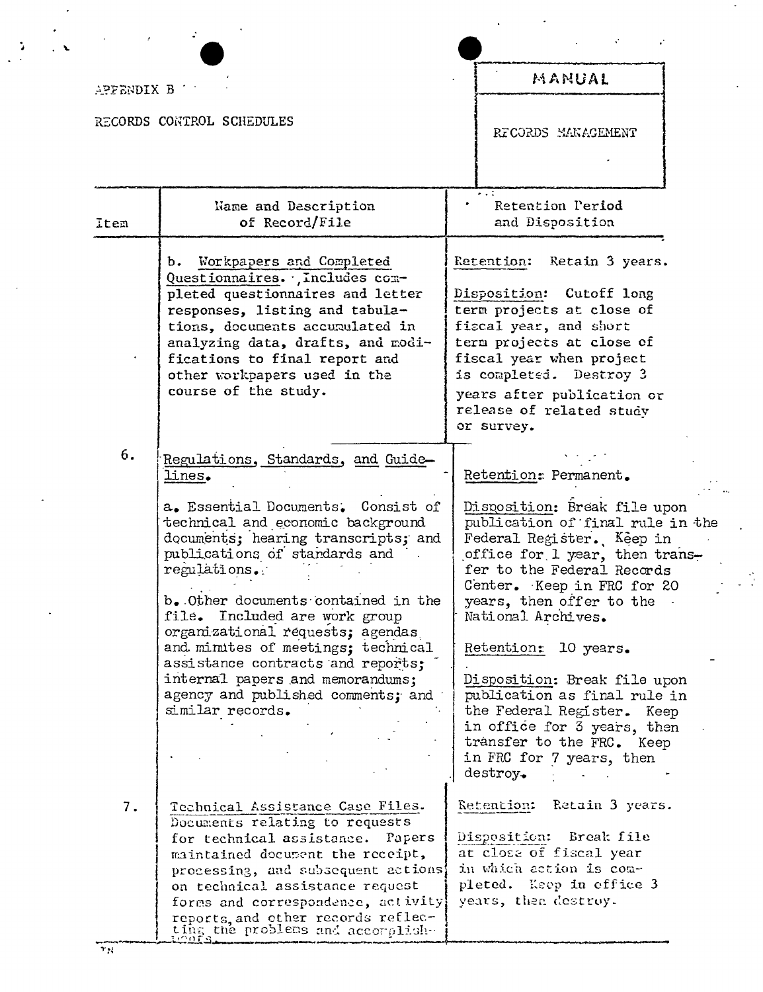| APPENDIX B |                                                                                                                                                                                                                                                                                                                                                                                                                                                                                                      | MANUAL                                                                                                                                                                                                                                                                                                                                                                                                                                                                                           |
|------------|------------------------------------------------------------------------------------------------------------------------------------------------------------------------------------------------------------------------------------------------------------------------------------------------------------------------------------------------------------------------------------------------------------------------------------------------------------------------------------------------------|--------------------------------------------------------------------------------------------------------------------------------------------------------------------------------------------------------------------------------------------------------------------------------------------------------------------------------------------------------------------------------------------------------------------------------------------------------------------------------------------------|
|            | RECORDS CONTROL SCHEDULES                                                                                                                                                                                                                                                                                                                                                                                                                                                                            | RECORDS MANAGEMENT                                                                                                                                                                                                                                                                                                                                                                                                                                                                               |
| Item       | Name and Description<br>of Record/File                                                                                                                                                                                                                                                                                                                                                                                                                                                               | Retention Period<br>and Disposition                                                                                                                                                                                                                                                                                                                                                                                                                                                              |
|            | b. Workpapers and Completed<br>Questionnaires. . , Includes com-<br>pleted questionnaires and letter<br>responses, listing and tabula-<br>tions, documents accumulated in<br>analyzing data, drafts, and modi-<br>fications to final report and<br>other workpapers used in the<br>course of the study.                                                                                                                                                                                              | Retention:<br>Retain 3 years.<br>Disposition: Cutoff long<br>term projects at close of<br>fiscal year, and short<br>term projects at close of<br>fiscal year when project<br>is completed. Destroy 3<br>years after publication or<br>release of related study<br>or survey.                                                                                                                                                                                                                     |
| 6.         | Regulations, Standards, and Guide-<br>lines.<br>a. Essential Documents. Consist of<br>technical and economic background<br>documents; hearing transcripts; and<br>publications of standards and<br>regulations.<br>b. Other documents contained in the<br>file. Included are work group<br>organizational requests; agendas<br>and minutes of meetings; technical<br>assistance contracts and reports;<br>internal papers and memorandums;<br>agency and published comments; and<br>similar records. | Retention: Permanent.<br>Disposition: Break file upon<br>publication of final rule in the<br>Federal Register. Keep in<br>office for 1 year, then trans-<br>fer to the Federal Records<br>Center. Keep in FRC for 20<br>years, then offer to the<br>National Archives.<br>Retention: 10 years.<br>Disposition: Break file upon<br>publication as final rule in<br>the Federal Register. Keep<br>in office for 3 years, then<br>transfer to the FRC. Keep<br>in FRC for 7 years, then<br>destroy. |
| 7.         | Technical Assistance Case Files.<br>Documents relating to requests<br>for technical assistance.<br>Papers<br>maintained document the receipt,<br>processing, and subsequent actions<br>on technical assistance request<br>forms and correspondence, activity<br>reports, and other records reflec-<br>ting the problems and accomplish-                                                                                                                                                              | Retention: Retain 3 years.<br>Disposition: Break file<br>at close of fiscal year<br>in which action is com-<br>pleted. Keep in office 3<br>years, then destroy.                                                                                                                                                                                                                                                                                                                                  |

L.

 $\frac{1}{\sqrt{2}}$ 

 $\overline{\tau_N}$ 

 $\ddot{\cdot}$ 

 $\ddot{\phantom{a}}$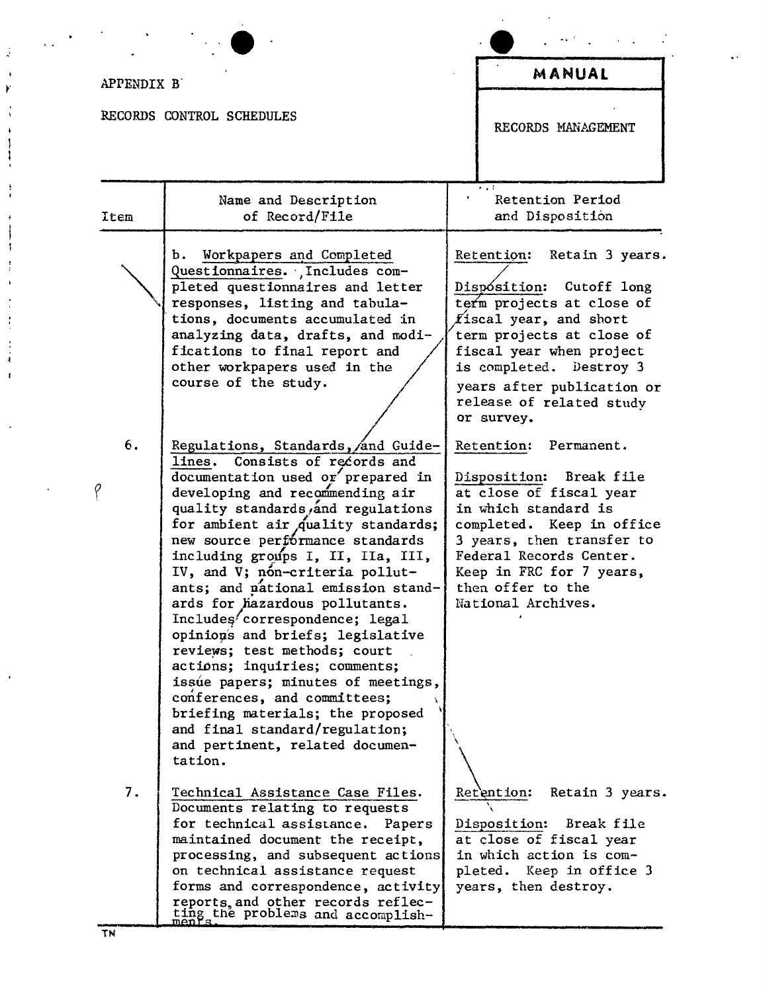| APPENDIX B |                                                                                                                                                                                                                                                                                                                                                                                                                                                                                                                                                                                                                                                                                                                                                 | MANUAL                                                                                                                                                                                                                                                                       |
|------------|-------------------------------------------------------------------------------------------------------------------------------------------------------------------------------------------------------------------------------------------------------------------------------------------------------------------------------------------------------------------------------------------------------------------------------------------------------------------------------------------------------------------------------------------------------------------------------------------------------------------------------------------------------------------------------------------------------------------------------------------------|------------------------------------------------------------------------------------------------------------------------------------------------------------------------------------------------------------------------------------------------------------------------------|
|            | RECORDS CONTROL SCHEDULES                                                                                                                                                                                                                                                                                                                                                                                                                                                                                                                                                                                                                                                                                                                       | RECORDS MANAGEMENT                                                                                                                                                                                                                                                           |
| Item       | Name and Description<br>of Record/File                                                                                                                                                                                                                                                                                                                                                                                                                                                                                                                                                                                                                                                                                                          | Retention Period<br>and Disposition                                                                                                                                                                                                                                          |
|            | Workpapers and Completed<br>Ъ.<br>Questionnaires. Includes com-<br>pleted questionnaires and letter<br>responses, listing and tabula-<br>tions, documents accumulated in<br>analyzing data, drafts, and modi-<br>fications to final report and<br>other workpapers used in the<br>course of the study.                                                                                                                                                                                                                                                                                                                                                                                                                                          | Retention: Retain 3 years.<br>Dispósition: Cutoff long<br>term projects at close of<br>$f$ iscal year, and short<br>term projects at close of<br>fiscal year when project<br>is completed. Destroy 3<br>years after publication or<br>release of related study<br>or survey. |
| 6.<br>ρ    | Regulations, Standards, and Guide-<br>Consists of records and<br>lines.<br>documentation used or prepared in<br>developing and recommending air<br>quality standards and regulations<br>for ambient air quality standards;<br>new source performance standards<br>including groups I, II, IIa, III,<br>IV, and V; non-criteria pollut-<br>ants; and pational emission stand-<br>ards for hazardous pollutants.<br>Includes correspondence; legal<br>opinions and briefs; legislative<br>reviews; test methods; court<br>actions; inquiries; comments;<br>issue papers; minutes of meetings,<br>conferences, and committees;<br>briefing materials; the proposed<br>and final standard/regulation;<br>and pertinent, related documen-<br>tation. | Retention:<br>Permanent.<br>Disposition: Break file<br>at close of fiscal year<br>in which standard is<br>completed. Keep in office<br>3 years, then transfer to<br>Federal Records Center.<br>Keep in FRC for 7 years,<br>then offer to the<br>National Archives.           |
| 7.         | Technical Assistance Case Files.<br>Documents relating to requests<br>for technical assistance.<br>Papers<br>maintained document the receipt,<br>processing, and subsequent actions<br>on technical assistance request<br>forms and correspondence, activity<br>reports, and other records reflec-<br>ting the problems and accomplish-                                                                                                                                                                                                                                                                                                                                                                                                         | Retention:<br>Retain 3 years.<br>Disposition: Break file<br>at close of fiscal year<br>in which action is com-<br>pleted. Keep in office 3<br>years, then destroy.                                                                                                           |

*.:*

 $\ddot{\phantom{a}}$ 

~<

J. J

į

 $\overline{a}$  $\mathfrak{f}$  $\frac{1}{2}$ J  $\ddot{\cdot}$  $\ddot{\cdot}$ 

 $\ddot{ }$  $\mathbf{I}$ 

٠,

 $\ddot{\phantom{1}}$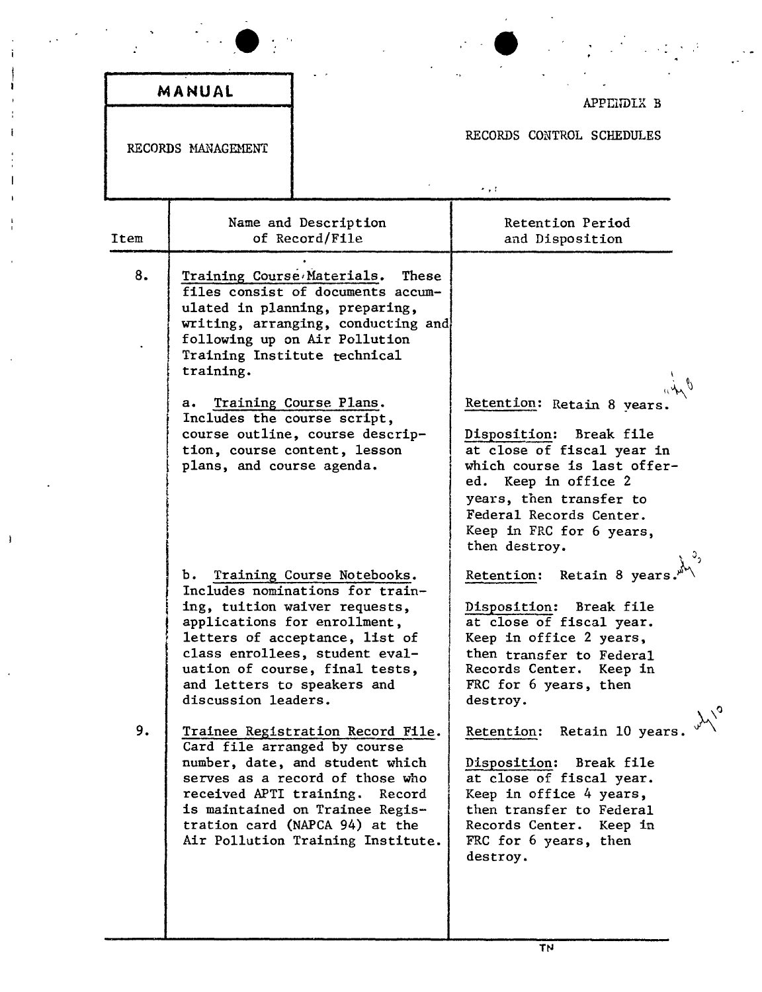|      | MANUAL                                                                                                               |                                                                                                                                                                                                                                                                                                                                                                                                                                                                                                     |                                                                                                                                                                                                                                                                                                                                                                                                                            |
|------|----------------------------------------------------------------------------------------------------------------------|-----------------------------------------------------------------------------------------------------------------------------------------------------------------------------------------------------------------------------------------------------------------------------------------------------------------------------------------------------------------------------------------------------------------------------------------------------------------------------------------------------|----------------------------------------------------------------------------------------------------------------------------------------------------------------------------------------------------------------------------------------------------------------------------------------------------------------------------------------------------------------------------------------------------------------------------|
|      | RECORDS MANAGEMENT                                                                                                   |                                                                                                                                                                                                                                                                                                                                                                                                                                                                                                     | APPENDIX B<br>RECORDS CONTROL SCHEDULES<br>$\sim$ , $\sim$                                                                                                                                                                                                                                                                                                                                                                 |
| Item |                                                                                                                      | Name and Description<br>of Record/File                                                                                                                                                                                                                                                                                                                                                                                                                                                              | Retention Period<br>and Disposition                                                                                                                                                                                                                                                                                                                                                                                        |
| 8.   | Training Course Materials.<br>training.<br>$a_{\bullet}$<br>Includes the course script,<br>plans, and course agenda. | These<br>files consist of documents accum-<br>ulated in planning, preparing,<br>writing, arranging, conducting and<br>following up on Air Pollution<br>Training Institute technical<br>Training Course Plans.<br>course outline, course descrip-<br>tion, course content, lesson                                                                                                                                                                                                                    | Retention: Retain 8 years.<br>Disposition: Break file<br>at close of fiscal year in<br>which course is last offer-<br>ed. Keep in office 2<br>years, then transfer to<br>Federal Records Center.<br>Keep in FRC for 6 years,<br>then destroy.                                                                                                                                                                              |
| 9.   | ъ.<br>and letters to speakers and<br>discussion leaders.<br>received APTI training.                                  | Training Course Notebooks.<br>Includes nominations for train-<br>ing, tuition waiver requests,<br>applications for enrollment,<br>letters of acceptance, list of<br>class enrollees, student eval-<br>uation of course, final tests,<br>Trainee Registration Record File.<br>Card file arranged by course<br>number, date, and student which<br>serves as a record of those who<br>Record<br>is maintained on Trainee Regis-<br>tration card (NAPCA 94) at the<br>Air Pollution Training Institute. | Retention: Retain 8 years<br>Disposition:<br>Break file<br>at close of fiscal year.<br>Keep in office 2 years,<br>then transfer to Federal<br>Records Center. Keep in<br>FRC for 6 years, then<br>destroy.<br>Retain 10 years.<br>Retention:<br>Disposition: Break file<br>at close of fiscal year.<br>Keep in office 4 years,<br>then transfer to Federal<br>Records Center. Keep in<br>FRC for 6 years, then<br>destroy. |

î

ŧ

 $\,$   $\,$